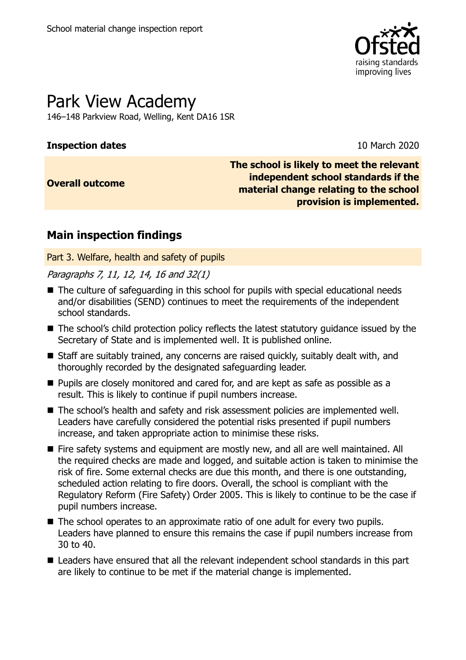

# Park View Academy

146–148 Parkview Road, Welling, Kent DA16 1SR

# **Inspection dates** 10 March 2020

### **Overall outcome**

**The school is likely to meet the relevant independent school standards if the material change relating to the school provision is implemented.**

# **Main inspection findings**

Part 3. Welfare, health and safety of pupils

### Paragraphs 7, 11, 12, 14, 16 and 32(1)

- The culture of safeguarding in this school for pupils with special educational needs and/or disabilities (SEND) continues to meet the requirements of the independent school standards.
- The school's child protection policy reflects the latest statutory guidance issued by the Secretary of State and is implemented well. It is published online.
- Staff are suitably trained, any concerns are raised quickly, suitably dealt with, and thoroughly recorded by the designated safeguarding leader.
- **Pupils are closely monitored and cared for, and are kept as safe as possible as a** result. This is likely to continue if pupil numbers increase.
- The school's health and safety and risk assessment policies are implemented well. Leaders have carefully considered the potential risks presented if pupil numbers increase, and taken appropriate action to minimise these risks.
- Fire safety systems and equipment are mostly new, and all are well maintained. All the required checks are made and logged, and suitable action is taken to minimise the risk of fire. Some external checks are due this month, and there is one outstanding, scheduled action relating to fire doors. Overall, the school is compliant with the Regulatory Reform (Fire Safety) Order 2005. This is likely to continue to be the case if pupil numbers increase.
- The school operates to an approximate ratio of one adult for every two pupils. Leaders have planned to ensure this remains the case if pupil numbers increase from 30 to 40.
- Leaders have ensured that all the relevant independent school standards in this part are likely to continue to be met if the material change is implemented.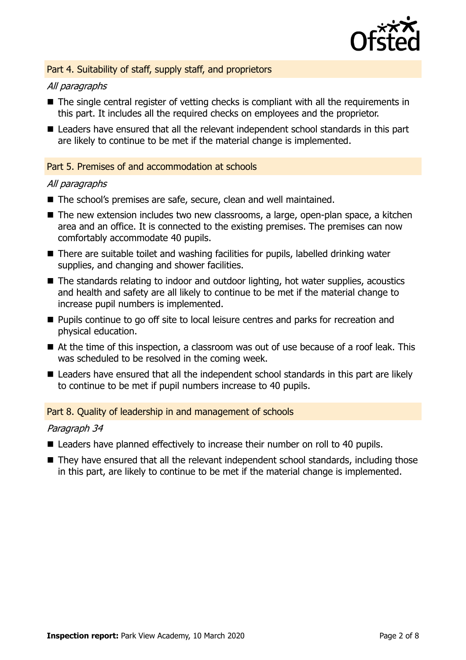

### Part 4. Suitability of staff, supply staff, and proprietors

#### All paragraphs

- The single central register of vetting checks is compliant with all the requirements in this part. It includes all the required checks on employees and the proprietor.
- Leaders have ensured that all the relevant independent school standards in this part are likely to continue to be met if the material change is implemented.

#### Part 5. Premises of and accommodation at schools

#### All paragraphs

- The school's premises are safe, secure, clean and well maintained.
- The new extension includes two new classrooms, a large, open-plan space, a kitchen area and an office. It is connected to the existing premises. The premises can now comfortably accommodate 40 pupils.
- There are suitable toilet and washing facilities for pupils, labelled drinking water supplies, and changing and shower facilities.
- The standards relating to indoor and outdoor lighting, hot water supplies, acoustics and health and safety are all likely to continue to be met if the material change to increase pupil numbers is implemented.
- **Pupils continue to go off site to local leisure centres and parks for recreation and** physical education.
- At the time of this inspection, a classroom was out of use because of a roof leak. This was scheduled to be resolved in the coming week.
- Leaders have ensured that all the independent school standards in this part are likely to continue to be met if pupil numbers increase to 40 pupils.

#### Part 8. Quality of leadership in and management of schools

#### Paragraph 34

- Leaders have planned effectively to increase their number on roll to 40 pupils.
- They have ensured that all the relevant independent school standards, including those in this part, are likely to continue to be met if the material change is implemented.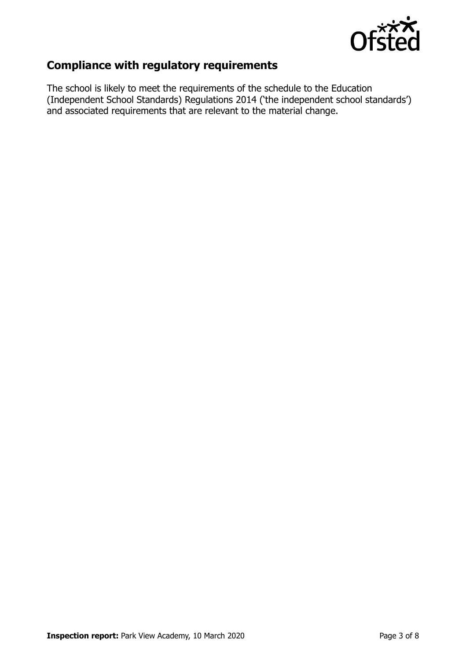

# **Compliance with regulatory requirements**

The school is likely to meet the requirements of the schedule to the Education (Independent School Standards) Regulations 2014 ('the independent school standards') and associated requirements that are relevant to the material change.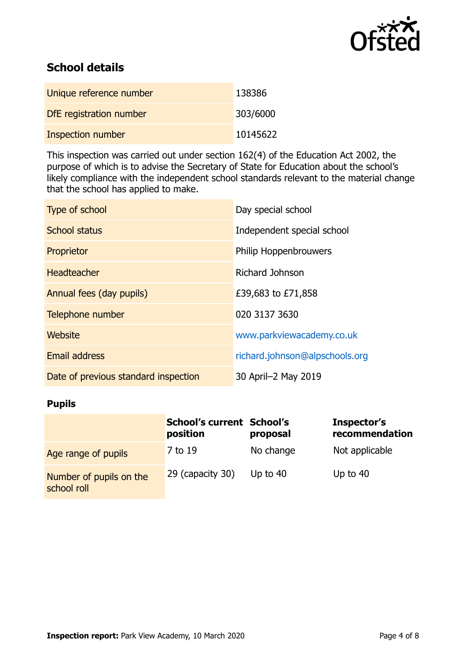

# **School details**

| Unique reference number | 138386   |
|-------------------------|----------|
| DfE registration number | 303/6000 |
| Inspection number       | 10145622 |

This inspection was carried out under section 162(4) of the Education Act 2002, the purpose of which is to advise the Secretary of State for Education about the school's likely compliance with the independent school standards relevant to the material change that the school has applied to make.

| Type of school                       | Day special school             |
|--------------------------------------|--------------------------------|
| <b>School status</b>                 | Independent special school     |
| Proprietor                           | <b>Philip Hoppenbrouwers</b>   |
| <b>Headteacher</b>                   | Richard Johnson                |
| Annual fees (day pupils)             | £39,683 to £71,858             |
| Telephone number                     | 020 3137 3630                  |
| Website                              | www.parkviewacademy.co.uk      |
| <b>Email address</b>                 | richard.johnson@alpschools.org |
| Date of previous standard inspection | 30 April-2 May 2019            |

# **Pupils**

|                                        | <b>School's current School's</b><br>position | proposal   | Inspector's<br>recommendation |
|----------------------------------------|----------------------------------------------|------------|-------------------------------|
| Age range of pupils                    | 7 to 19                                      | No change  | Not applicable                |
| Number of pupils on the<br>school roll | 29 (capacity 30)                             | Up to $40$ | Up to $40$                    |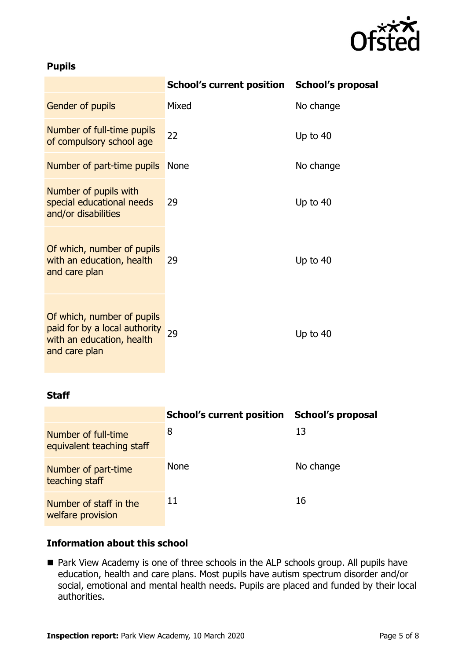

# **Pupils**

|                                                                                                           | School's current position School's proposal |            |
|-----------------------------------------------------------------------------------------------------------|---------------------------------------------|------------|
| Gender of pupils                                                                                          | Mixed                                       | No change  |
| Number of full-time pupils<br>of compulsory school age                                                    | 22                                          | Up to 40   |
| Number of part-time pupils                                                                                | <b>None</b>                                 | No change  |
| Number of pupils with<br>special educational needs<br>and/or disabilities                                 | 29                                          | Up to 40   |
| Of which, number of pupils<br>with an education, health<br>and care plan                                  | 29                                          | Up to 40   |
| Of which, number of pupils<br>paid for by a local authority<br>with an education, health<br>and care plan | 29                                          | Up to $40$ |

### **Staff**

|                                                  | <b>School's current position</b> | <b>School's proposal</b> |
|--------------------------------------------------|----------------------------------|--------------------------|
| Number of full-time<br>equivalent teaching staff | 8                                | 13                       |
| Number of part-time<br>teaching staff            | <b>None</b>                      | No change                |
| Number of staff in the<br>welfare provision      | 11                               | 16                       |

# **Information about this school**

■ Park View Academy is one of three schools in the ALP schools group. All pupils have education, health and care plans. Most pupils have autism spectrum disorder and/or social, emotional and mental health needs. Pupils are placed and funded by their local authorities.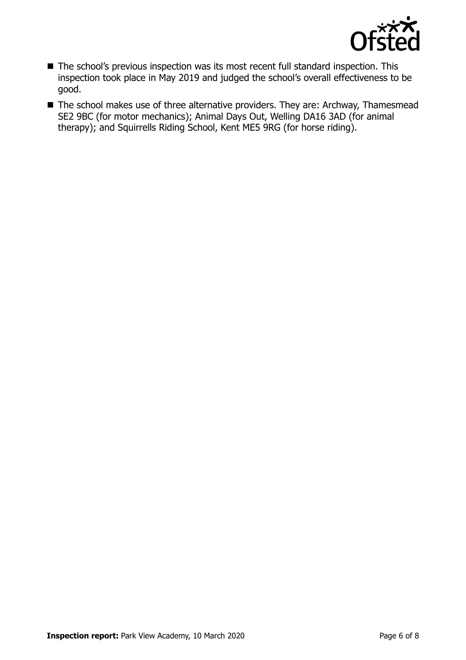

- The school's previous inspection was its most recent full standard inspection. This inspection took place in May 2019 and judged the school's overall effectiveness to be good.
- The school makes use of three alternative providers. They are: Archway, Thamesmead SE2 9BC (for motor mechanics); Animal Days Out, Welling DA16 3AD (for animal therapy); and Squirrells Riding School, Kent ME5 9RG (for horse riding).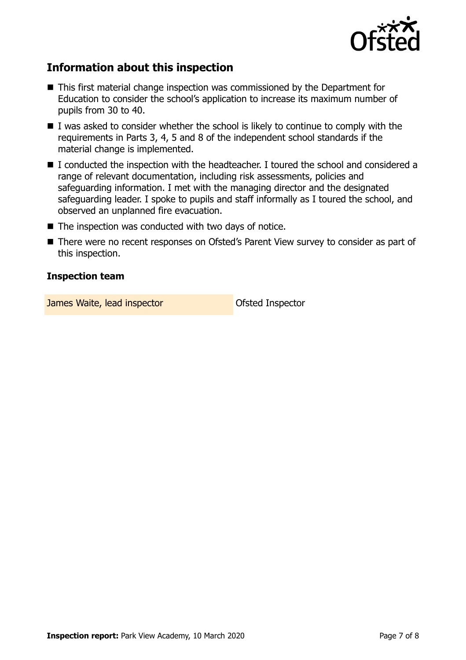

# **Information about this inspection**

- This first material change inspection was commissioned by the Department for Education to consider the school's application to increase its maximum number of pupils from 30 to 40.
- $\blacksquare$  I was asked to consider whether the school is likely to continue to comply with the requirements in Parts 3, 4, 5 and 8 of the independent school standards if the material change is implemented.
- I conducted the inspection with the headteacher. I toured the school and considered a range of relevant documentation, including risk assessments, policies and safeguarding information. I met with the managing director and the designated safeguarding leader. I spoke to pupils and staff informally as I toured the school, and observed an unplanned fire evacuation.
- $\blacksquare$  The inspection was conducted with two days of notice.
- There were no recent responses on Ofsted's Parent View survey to consider as part of this inspection.

#### **Inspection team**

**James Waite, lead inspector Construction Construction Construction**